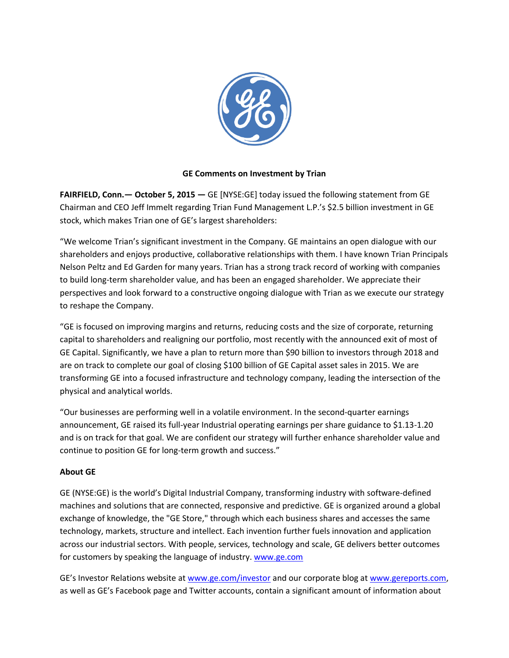

## **GE Comments on Investment by Trian**

**FAIRFIELD, Conn.— October 5, 2015 —** GE [NYSE:GE] today issued the following statement from GE Chairman and CEO Jeff Immelt regarding Trian Fund Management L.P.'s \$2.5 billion investment in GE stock, which makes Trian one of GE's largest shareholders:

"We welcome Trian's significant investment in the Company. GE maintains an open dialogue with our shareholders and enjoys productive, collaborative relationships with them. I have known Trian Principals Nelson Peltz and Ed Garden for many years. Trian has a strong track record of working with companies to build long-term shareholder value, and has been an engaged shareholder. We appreciate their perspectives and look forward to a constructive ongoing dialogue with Trian as we execute our strategy to reshape the Company.

"GE is focused on improving margins and returns, reducing costs and the size of corporate, returning capital to shareholders and realigning our portfolio, most recently with the announced exit of most of GE Capital. Significantly, we have a plan to return more than \$90 billion to investors through 2018 and are on track to complete our goal of closing \$100 billion of GE Capital asset sales in 2015. We are transforming GE into a focused infrastructure and technology company, leading the intersection of the physical and analytical worlds.

"Our businesses are performing well in a volatile environment. In the second-quarter earnings announcement, GE raised its full-year Industrial operating earnings per share guidance to \$1.13-1.20 and is on track for that goal. We are confident our strategy will further enhance shareholder value and continue to position GE for long-term growth and success."

## **About GE**

GE (NYSE:GE) is the world's Digital Industrial Company, transforming industry with software-defined machines and solutions that are connected, responsive and predictive. GE is organized around a global exchange of knowledge, the "GE Store," through which each business shares and accesses the same technology, markets, structure and intellect. Each invention further fuels innovation and application across our industrial sectors. With people, services, technology and scale, GE delivers better outcomes for customers by speaking the language of industry. [www.ge.com](http://cts.businesswire.com/ct/CT?id=smartlink&url=http%3A%2F%2Fwww.ge.com%2F&esheet=51194320&newsitemid=20151005005720&lan=en-US&anchor=www.ge.com&index=1&md5=9711becb7acebf0c1ed94084219531b2)

GE's Investor Relations website at [www.ge.com/investor](http://cts.businesswire.com/ct/CT?id=smartlink&url=http%3A%2F%2Fwww.ge.com%2Finvestor&esheet=51194320&newsitemid=20151005005720&lan=en-US&anchor=www.ge.com%2Finvestor&index=2&md5=0c7c5d09d635aa85939eb920f1284d06) and our corporate blog at [www.gereports.com,](http://cts.businesswire.com/ct/CT?id=smartlink&url=http%3A%2F%2Fwww.gereports.com&esheet=51194320&newsitemid=20151005005720&lan=en-US&anchor=www.gereports.com&index=3&md5=76e89e06935c1d107b7413e530d81556) as well as GE's Facebook page and Twitter accounts, contain a significant amount of information about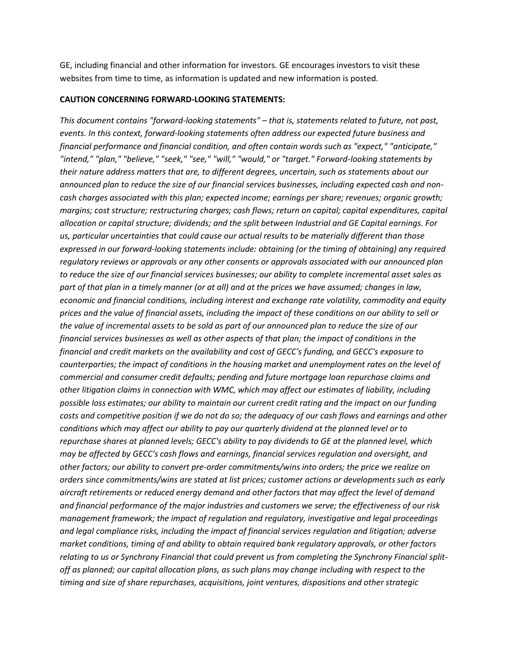GE, including financial and other information for investors. GE encourages investors to visit these websites from time to time, as information is updated and new information is posted.

## **CAUTION CONCERNING FORWARD-LOOKING STATEMENTS:**

*This document contains "forward-looking statements" – that is, statements related to future, not past, events. In this context, forward-looking statements often address our expected future business and financial performance and financial condition, and often contain words such as "expect," "anticipate," "intend," "plan," "believe," "seek," "see," "will," "would," or "target." Forward-looking statements by their nature address matters that are, to different degrees, uncertain, such as statements about our announced plan to reduce the size of our financial services businesses, including expected cash and noncash charges associated with this plan; expected income; earnings per share; revenues; organic growth; margins; cost structure; restructuring charges; cash flows; return on capital; capital expenditures, capital allocation or capital structure; dividends; and the split between Industrial and GE Capital earnings. For us, particular uncertainties that could cause our actual results to be materially different than those expressed in our forward-looking statements include: obtaining (or the timing of obtaining) any required regulatory reviews or approvals or any other consents or approvals associated with our announced plan to reduce the size of our financial services businesses; our ability to complete incremental asset sales as part of that plan in a timely manner (or at all) and at the prices we have assumed; changes in law, economic and financial conditions, including interest and exchange rate volatility, commodity and equity prices and the value of financial assets, including the impact of these conditions on our ability to sell or the value of incremental assets to be sold as part of our announced plan to reduce the size of our financial services businesses as well as other aspects of that plan; the impact of conditions in the financial and credit markets on the availability and cost of GECC's funding, and GECC's exposure to counterparties; the impact of conditions in the housing market and unemployment rates on the level of commercial and consumer credit defaults; pending and future mortgage loan repurchase claims and other litigation claims in connection with WMC, which may affect our estimates of liability, including possible loss estimates; our ability to maintain our current credit rating and the impact on our funding costs and competitive position if we do not do so; the adequacy of our cash flows and earnings and other conditions which may affect our ability to pay our quarterly dividend at the planned level or to repurchase shares at planned levels; GECC's ability to pay dividends to GE at the planned level, which may be affected by GECC's cash flows and earnings, financial services regulation and oversight, and other factors; our ability to convert pre-order commitments/wins into orders; the price we realize on orders since commitments/wins are stated at list prices; customer actions or developments such as early aircraft retirements or reduced energy demand and other factors that may affect the level of demand and financial performance of the major industries and customers we serve; the effectiveness of our risk management framework; the impact of regulation and regulatory, investigative and legal proceedings and legal compliance risks, including the impact of financial services regulation and litigation; adverse market conditions, timing of and ability to obtain required bank regulatory approvals, or other factors relating to us or Synchrony Financial that could prevent us from completing the Synchrony Financial splitoff as planned; our capital allocation plans, as such plans may change including with respect to the timing and size of share repurchases, acquisitions, joint ventures, dispositions and other strategic*